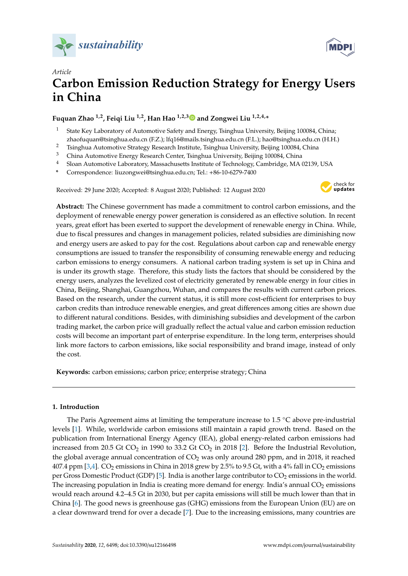



# *Article* **Carbon Emission Reduction Strategy for Energy Users in China**

**Fuquan Zhao 1,2, Feiqi Liu 1,2, Han Hao 1,2,[3](https://orcid.org/0000-0001-7542-4746) and Zongwei Liu 1,2,4,\***

- <sup>1</sup> State Key Laboratory of Automotive Safety and Energy, Tsinghua University, Beijing 100084, China; zhaofuquan@tsinghua.edu.cn (F.Z.); lfq16@mails.tsinghua.edu.cn (F.L.); hao@tsinghua.edu.cn (H.H.)
- 
- <sup>2</sup> Tsinghua Automotive Strategy Research Institute, Tsinghua University, Beijing 100084, China<br><sup>3</sup> China Automotive Energy Research Center Tsinghua University Beijing 100084, China <sup>3</sup> China Automotive Energy Research Center, Tsinghua University, Beijing 100084, China
- <sup>4</sup> Sloan Automotive Laboratory, Massachusetts Institute of Technology, Cambridge, MA 02139, USA
- **\*** Correspondence: liuzongwei@tsinghua.edu.cn; Tel.: +86-10-6279-7400

Received: 29 June 2020; Accepted: 8 August 2020; Published: 12 August 2020



**Abstract:** The Chinese government has made a commitment to control carbon emissions, and the deployment of renewable energy power generation is considered as an effective solution. In recent years, great effort has been exerted to support the development of renewable energy in China. While, due to fiscal pressures and changes in management policies, related subsidies are diminishing now and energy users are asked to pay for the cost. Regulations about carbon cap and renewable energy consumptions are issued to transfer the responsibility of consuming renewable energy and reducing carbon emissions to energy consumers. A national carbon trading system is set up in China and is under its growth stage. Therefore, this study lists the factors that should be considered by the energy users, analyzes the levelized cost of electricity generated by renewable energy in four cities in China, Beijing, Shanghai, Guangzhou, Wuhan, and compares the results with current carbon prices. Based on the research, under the current status, it is still more cost-efficient for enterprises to buy carbon credits than introduce renewable energies, and great differences among cities are shown due to different natural conditions. Besides, with diminishing subsidies and development of the carbon trading market, the carbon price will gradually reflect the actual value and carbon emission reduction costs will become an important part of enterprise expenditure. In the long term, enterprises should link more factors to carbon emissions, like social responsibility and brand image, instead of only the cost.

**Keywords:** carbon emissions; carbon price; enterprise strategy; China

### **1. Introduction**

The Paris Agreement aims at limiting the temperature increase to 1.5 ◦C above pre-industrial levels [\[1\]](#page-14-0). While, worldwide carbon emissions still maintain a rapid growth trend. Based on the publication from International Energy Agency (IEA), global energy-related carbon emissions had increased from 20.5 Gt  $CO_2$  in 1990 to 33.2 Gt  $CO_2$  in 2018 [\[2\]](#page-14-1). Before the Industrial Revolution, the global average annual concentration of  $CO<sub>2</sub>$  was only around 280 ppm, and in 2018, it reached 407.4 ppm  $[3,4]$  $[3,4]$ . CO<sub>2</sub> emissions in China in 2018 grew by 2.5% to 9.5 Gt, with a 4% fall in CO<sub>2</sub> emissions per Gross Domestic Product (GDP) [\[5\]](#page-14-4). India is another large contributor to  $CO<sub>2</sub>$  emissions in the world. The increasing population in India is creating more demand for energy. India's annual  $CO<sub>2</sub>$  emissions would reach around 4.2–4.5 Gt in 2030, but per capita emissions will still be much lower than that in China [\[6\]](#page-14-5). The good news is greenhouse gas (GHG) emissions from the European Union (EU) are on a clear downward trend for over a decade [\[7\]](#page-15-0). Due to the increasing emissions, many countries are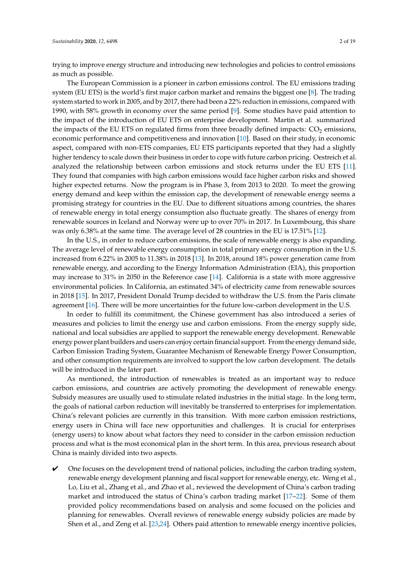trying to improve energy structure and introducing new technologies and policies to control emissions as much as possible.

The European Commission is a pioneer in carbon emissions control. The EU emissions trading system (EU ETS) is the world's first major carbon market and remains the biggest one [\[8\]](#page-15-1). The trading system started to work in 2005, and by 2017, there had been a 22% reduction in emissions, compared with 1990, with 58% growth in economy over the same period [\[9\]](#page-15-2). Some studies have paid attention to the impact of the introduction of EU ETS on enterprise development. Martin et al. summarized the impacts of the EU ETS on regulated firms from three broadly defined impacts:  $CO<sub>2</sub>$  emissions, economic performance and competitiveness and innovation [\[10\]](#page-15-3). Based on their study, in economic aspect, compared with non-ETS companies, EU ETS participants reported that they had a slightly higher tendency to scale down their business in order to cope with future carbon pricing. Oestreich et al. analyzed the relationship between carbon emissions and stock returns under the EU ETS [\[11\]](#page-15-4). They found that companies with high carbon emissions would face higher carbon risks and showed higher expected returns. Now the program is in Phase 3, from 2013 to 2020. To meet the growing energy demand and keep within the emission cap, the development of renewable energy seems a promising strategy for countries in the EU. Due to different situations among countries, the shares of renewable energy in total energy consumption also fluctuate greatly. The shares of energy from renewable sources in Iceland and Norway were up to over 70% in 2017. In Luxembourg, this share was only 6.38% at the same time. The average level of 28 countries in the EU is 17.51% [\[12\]](#page-15-5).

In the U.S., in order to reduce carbon emissions, the scale of renewable energy is also expanding. The average level of renewable energy consumption in total primary energy consumption in the U.S. increased from 6.22% in 2005 to 11.38% in 2018 [\[13\]](#page-15-6). In 2018, around 18% power generation came from renewable energy, and according to the Energy Information Administration (EIA), this proportion may increase to 31% in 2050 in the Reference case [\[14\]](#page-15-7). California is a state with more aggressive environmental policies. In California, an estimated 34% of electricity came from renewable sources in 2018 [\[15\]](#page-15-8). In 2017, President Donald Trump decided to withdraw the U.S. from the Paris climate agreement [\[16\]](#page-15-9). There will be more uncertainties for the future low-carbon development in the U.S.

In order to fulfill its commitment, the Chinese government has also introduced a series of measures and policies to limit the energy use and carbon emissions. From the energy supply side, national and local subsidies are applied to support the renewable energy development. Renewable energy power plant builders and users can enjoy certain financial support. From the energy demand side, Carbon Emission Trading System, Guarantee Mechanism of Renewable Energy Power Consumption, and other consumption requirements are involved to support the low carbon development. The details will be introduced in the later part.

As mentioned, the introduction of renewables is treated as an important way to reduce carbon emissions, and countries are actively promoting the development of renewable energy. Subsidy measures are usually used to stimulate related industries in the initial stage. In the long term, the goals of national carbon reduction will inevitably be transferred to enterprises for implementation. China's relevant policies are currently in this transition. With more carbon emission restrictions, energy users in China will face new opportunities and challenges. It is crucial for enterprises (energy users) to know about what factors they need to consider in the carbon emission reduction process and what is the most economical plan in the short term. In this area, previous research about China is mainly divided into two aspects.

One focuses on the development trend of national policies, including the carbon trading system, renewable energy development planning and fiscal support for renewable energy, etc. Weng et al., Lo, Liu et al., Zhang et al., and Zhao et al., reviewed the development of China's carbon trading market and introduced the status of China's carbon trading market [\[17](#page-15-10)[–22\]](#page-15-11). Some of them provided policy recommendations based on analysis and some focused on the policies and planning for renewables. Overall reviews of renewable energy subsidy policies are made by Shen et al., and Zeng et al. [\[23](#page-15-12)[,24\]](#page-15-13). Others paid attention to renewable energy incentive policies,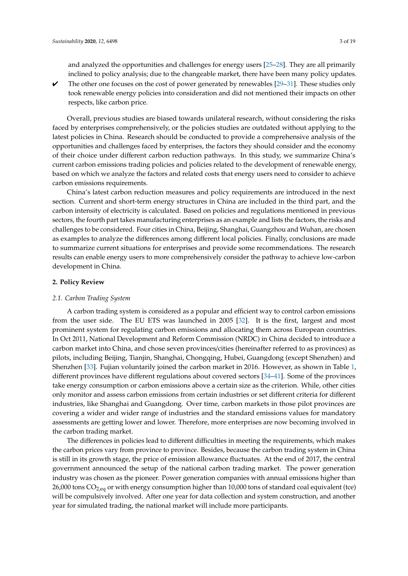and analyzed the opportunities and challenges for energy users [\[25–](#page-15-14)[28\]](#page-15-15). They are all primarily inclined to policy analysis; due to the changeable market, there have been many policy updates.

 $\triangledown$  The other one focuses on the cost of power generated by renewables [\[29–](#page-15-16)[31\]](#page-15-17). These studies only took renewable energy policies into consideration and did not mentioned their impacts on other respects, like carbon price.

Overall, previous studies are biased towards unilateral research, without considering the risks faced by enterprises comprehensively, or the policies studies are outdated without applying to the latest policies in China. Research should be conducted to provide a comprehensive analysis of the opportunities and challenges faced by enterprises, the factors they should consider and the economy of their choice under different carbon reduction pathways. In this study, we summarize China's current carbon emissions trading policies and policies related to the development of renewable energy, based on which we analyze the factors and related costs that energy users need to consider to achieve carbon emissions requirements.

China's latest carbon reduction measures and policy requirements are introduced in the next section. Current and short-term energy structures in China are included in the third part, and the carbon intensity of electricity is calculated. Based on policies and regulations mentioned in previous sectors, the fourth part takes manufacturing enterprises as an example and lists the factors, the risks and challenges to be considered. Four cities in China, Beijing, Shanghai, Guangzhou and Wuhan, are chosen as examples to analyze the differences among different local policies. Finally, conclusions are made to summarize current situations for enterprises and provide some recommendations. The research results can enable energy users to more comprehensively consider the pathway to achieve low-carbon development in China.

#### **2. Policy Review**

#### *2.1. Carbon Trading System*

A carbon trading system is considered as a popular and efficient way to control carbon emissions from the user side. The EU ETS was launched in 2005 [\[32\]](#page-15-18). It is the first, largest and most prominent system for regulating carbon emissions and allocating them across European countries. In Oct 2011, National Development and Reform Commission (NRDC) in China decided to introduce a carbon market into China, and chose seven provinces/cities (hereinafter referred to as provinces) as pilots, including Beijing, Tianjin, Shanghai, Chongqing, Hubei, Guangdong (except Shenzhen) and Shenzhen [\[33\]](#page-15-19). Fujian voluntarily joined the carbon market in 2016. However, as shown in Table [1,](#page-4-0) different provinces have different regulations about covered sectors [\[34–](#page-16-0)[41\]](#page-16-1). Some of the provinces take energy consumption or carbon emissions above a certain size as the criterion. While, other cities only monitor and assess carbon emissions from certain industries or set different criteria for different industries, like Shanghai and Guangdong. Over time, carbon markets in those pilot provinces are covering a wider and wider range of industries and the standard emissions values for mandatory assessments are getting lower and lower. Therefore, more enterprises are now becoming involved in the carbon trading market.

The differences in policies lead to different difficulties in meeting the requirements, which makes the carbon prices vary from province to province. Besides, because the carbon trading system in China is still in its growth stage, the price of emission allowance fluctuates. At the end of 2017, the central government announced the setup of the national carbon trading market. The power generation industry was chosen as the pioneer. Power generation companies with annual emissions higher than  $26,000$  tons  $CO<sub>2,eq</sub>$  or with energy consumption higher than 10,000 tons of standard coal equivalent (tce) will be compulsively involved. After one year for data collection and system construction, and another year for simulated trading, the national market will include more participants.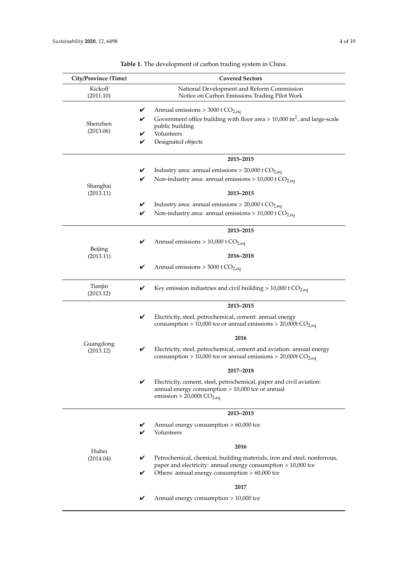| City/Province (Time)   | <b>Covered Sectors</b>                                                                                                                                                                                              |
|------------------------|---------------------------------------------------------------------------------------------------------------------------------------------------------------------------------------------------------------------|
| Kickoff<br>(2011.10)   | National Development and Reform Commission<br>Notice on Carbon Emissions Trading Pilot Work                                                                                                                         |
| Shenzhen<br>(2013.06)  | V<br>Annual emissions $>$ 3000 t CO <sub>2,eq</sub><br>Government office building with floor area $> 10,000$ m <sup>2</sup> , and large-scale<br>V<br>public building<br>Volunteers<br>v<br>Designated objects<br>V |
|                        | 2013-2015                                                                                                                                                                                                           |
| Shanghai               | V<br>Industry area: annual emissions $> 20,000$ t CO <sub>2,eq</sub><br>Non-industry area: annual emissions $> 10,000$ t CO <sub>2,eq</sub><br>V                                                                    |
| (2013.11)              | 2013-2015                                                                                                                                                                                                           |
|                        | V<br>Industry area: annual emissions > 20,000 t $CO2,eq$<br>Non-industry area: annual emissions $> 10,000$ t CO <sub>2.eq</sub><br>V                                                                                |
|                        | 2013–2015                                                                                                                                                                                                           |
|                        | Annual emissions $> 10,000$ t CO <sub>2,eq</sub><br>V                                                                                                                                                               |
| Beijing<br>(2013.11)   | 2016-2018                                                                                                                                                                                                           |
|                        | V<br>Annual emissions > 5000 t $CO2,eq$                                                                                                                                                                             |
| Tianjin<br>(2013.12)   | Key emission industries and civil building $> 10,000$ t CO <sub>2.eq</sub><br>V                                                                                                                                     |
|                        | 2013-2015                                                                                                                                                                                                           |
|                        | V<br>Electricity, steel, petrochemical, cement: annual energy<br>consumption > 10,000 tce or annual emissions > 20,000t $CO2,eq$                                                                                    |
|                        | 2016                                                                                                                                                                                                                |
| Guangdong<br>(2013.12) | Electricity, steel, petrochemical, cement and aviation: annual energy<br>V<br>consumption > 10,000 tce or annual emissions > 20,000t $CO2,eq$                                                                       |
|                        | 2017-2018                                                                                                                                                                                                           |
|                        | Electricity, cement, steel, petrochemical, paper and civil aviation:<br>V<br>annual energy consumption $> 10,000$ tce or annual<br>emission > 20,000t $CO2,eq$                                                      |
|                        | 2013-2015                                                                                                                                                                                                           |
|                        | Annual energy consumption > 60,000 tce<br>V<br>Volunteers<br>v                                                                                                                                                      |
| Hubei                  | 2016                                                                                                                                                                                                                |
| (2014.04)              | V<br>Petrochemical, chemical, building materials, iron and steel, nonferrous,<br>paper and electricity: annual energy consumption $> 10,000$ tce<br>Others: annual energy consumption $> 60,000$ tce<br>V           |
|                        | 2017                                                                                                                                                                                                                |
|                        | Annual energy consumption > 10,000 tce<br>V                                                                                                                                                                         |

**Table 1.** The development of carbon trading system in China.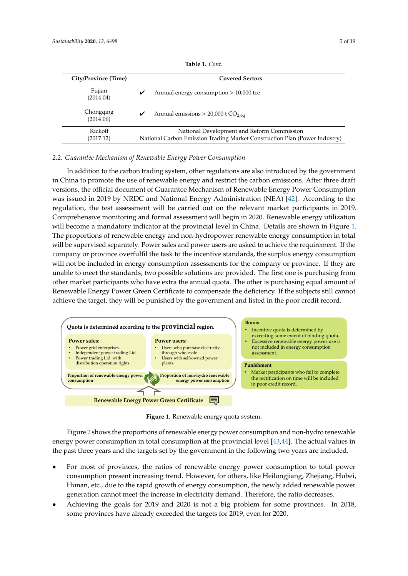| City/Province (Time) | <b>Covered Sectors</b>                                                     |  |
|----------------------|----------------------------------------------------------------------------|--|
| Fujian               | Annual energy consumption $> 10,000$ tce                                   |  |
| (2014.04)            | V                                                                          |  |
| Chongqing            | Annual emissions $> 20,000$ t CO <sub>2.eq</sub>                           |  |
| (2014.06)            | ✔                                                                          |  |
| Kickoff              | National Development and Reform Commission                                 |  |
| (2017.12)            | National Carbon Emission Trading Market Construction Plan (Power Industry) |  |

<span id="page-4-0"></span>**Table 1.** *Cont.* **Table 1.** Cont.

### 2.2. Guarantee Mechanism of Renewable Energy Power Consumption and and the contraction of Kenewald.

In addition to the carbon trading system, other regulations are also introduced by the government in China to promote the use of renewable energy and restrict the carbon emissions. After three draft versions, the official document of Guarantee Mechanism of Renewable Energy Power Consumption was issued in 2019 by NRDC and National Energy Administration (NEA) [\[42\]](#page-16-2). According to the regulation, the test assessment will be carried out on the relevant market participants in 2019. Comprehensive monitoring and formal assessment will begin in 2020. Renewable energy utilization will become a mandatory indicator at the provincial level in China. Details are shown in Figure [1.](#page-4-1) The proportions of renewable energy and non-hydropower renewable energy consumption in total will be supervised separately. Power sales and power users are asked to achieve the requirement. If the company or province overfulfil the task to the incentive standards, the surplus energy consumption will not be included in energy consumption assessments for the company or province. If they are unable to meet the standards, two possible solutions are provided. The first one is purchasing from other market participants who have extra the annual quota. The other is purchasing equal amount of Renewable Energy Power Green Certificate to compensate the deficiency. If the subjects still cannot achieve the target, they will be punished by the government and listed in the poor credit record.  $r_{\rm r}$  is total power demand keep growing.

<span id="page-4-1"></span>

**Figure 1.** Renewable energy quota system. **Figure 1.** Renewable energy quota system.

Figure [2](#page-5-0) shows the proportions of renewable energy power consumption and non-hydro renewable energy power consumption in total consumption at the provincial level [\[43](#page-16-3)[,44\]](#page-16-4). The actual values in the past three years and the targets set by the government in the following two years are included.

- For most of provinces, the ratios of renewable energy power consumption to total power consumption present increasing trend. However, for others, like Heilongjiang, Zhejiang, Hubei, Hunan, etc., due to the rapid growth of energy consumption, the newly added renewable power generation cannot meet the increase in electricity demand. Therefore, the ratio decreases.
- Achieving the goals for 2019 and 2020 is not a big problem for some provinces. In 2018, some provinces have already exceeded the targets for 2019, even for 2020.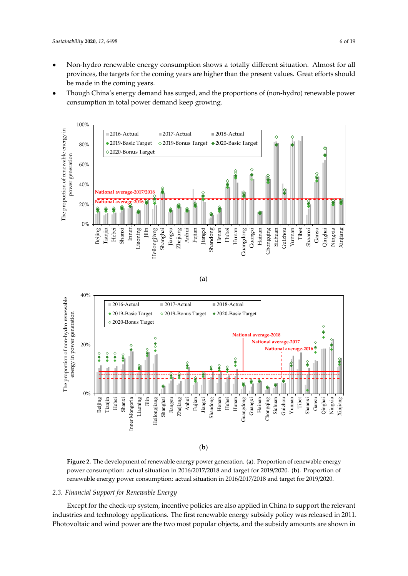- Non-hydro renewable energy consumption shows a totally different situation. Almost for all provinces, the targets for the coming years are higher than the present values. Great efforts should be made in the coming years.
- Though China's energy demand has surged, and the proportions of (non-hydro) renewable power consumption in total power demand keep growing.

<span id="page-5-0"></span>

(**a**)



**Figure 2.** The development of renewable energy power generation. (**a**). Proportion of renewable **Figure 2.** The development of renewable energy power generation. (**a**). Proportion of renewable energy power consumption: actual situation in 2016/2017/2018 and target for 2019/2020. (b). Proportion of renewable energy power consumption: actual situation in 2016/2017/2018 and target for 2019/2020.

### 2.3. Financial Support for Renewable Energy

Except for the check-up system, incentive policies are also applied in China to support the relevant industries and technology applications. The first renewable energy subsidy policy was released in 2011.<br>--Photovoltaic and wind power are the two most popular objects, and the subsidy amounts are shown in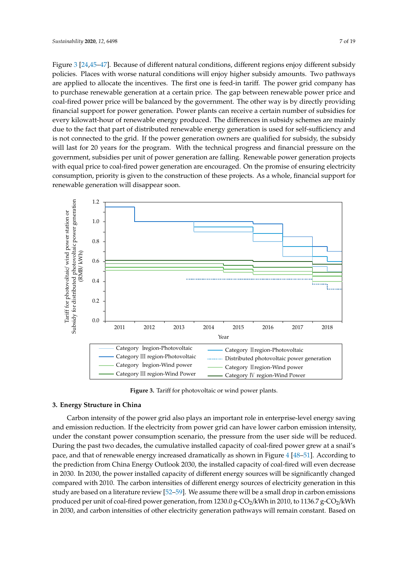Figure [3](#page-6-0) [\[24,](#page-15-13)[45](#page-16-5)[–47\]](#page-16-6). Because of different natural conditions, different regions enjoy different subsidy policies. Places with worse natural conditions will enjoy higher subsidy amounts. Two pathways are applied to allocate the incentives. The first one is feed-in tariff. The power grid company has to purchase renewable generation at a certain price. The gap between renewable power price and coal-fired power price will be balanced by the government. The other way is by directly providing financial support for power generation. Power plants can receive a certain number of subsidies for every kilowatt-hour of renewable energy produced. The differences in subsidy schemes are mainly due to the fact that part of distributed renewable energy generation is used for self-sufficiency and is not connected to the grid. If the power generation owners are qualified for subsidy, the subsidy will last for 20 years for the program. With the technical progress and financial pressure on the government, subsidies per unit of power generation are falling. Renewable power generation projects with equal price to coal-fired power generation are encouraged. On the promise of ensuring electricity consumption, priority is given to the construction of these projects. As a whole, financial support for renewable generation will disappear soon.

<span id="page-6-0"></span>

**Figure 3.** Tariff for photovoltaic or wind power plants. **Figure 3.** Tariff for photovoltaic or wind power plants.

## **3. Energy Structure in China 3. Energy Structure in China**

Carbon intensity of the power grid also plays an important role in enterprise-level energy saving and emission reduction. If the electricity from power grid can have lower carbon emission intensity, and emission reduction. If the electricity from power grid can have lower carbon emission intensity, under the constant power consumption scenario, the pressure from the user side will be reduced. During the past two decades, the cumulative installed capacity of coal-fired power grew at a snail's During the past two decades, the cumulative installed capacity of coal-fired power grew at a snail's pace, and that of renewable energy increased dramatically as shown in Figure [4](#page-7-0) [\[48–](#page-16-7)[51\]](#page-16-8). According to pace, and that of renewable energy increased dramatically as shown in Figure 4 [48–51]. According to the prediction from China Energy Outlook 2030, the installed capacity of coal-fired will even decrease in 2030. In 2030, the power installed capacity of different energy sources will be significantly changed compared with 2010. The carbon intensities of different energy sources of electricity generation in this edifferent with 2010. The carbon intensities of different energy sources of electricity generation in the study are based on a literature review [\[52](#page-16-9)[–59\]](#page-17-0). We assume there will be a small drop in carbon emissions produced per unit of coal-fired power generation, from  $1230.0$  g-CO<sub>2</sub>/kWh in 2010, to  $1136.7$  g-CO<sub>2</sub>/kWh in  $\frac{1}{2}$  in carbon emissions produced per unit of coal-fired per unit of coal-fired power generation, from  $\frac{1}{2}$ in 2030, and carbon intensities of other electricity generation pathways will remain constant. Based on Carbon intensity of the power grid also plays an important role in enterprise-level energy saving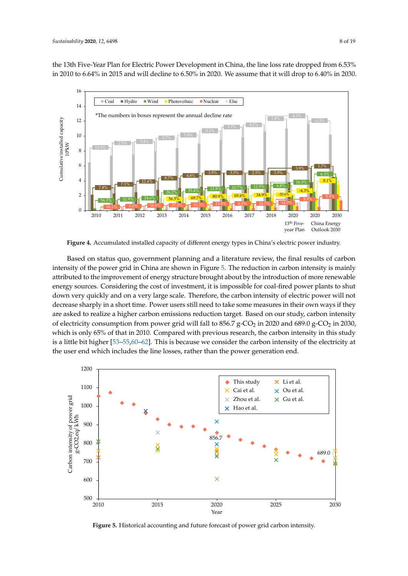the 13th Five-Year Plan for Electric Power Development in China, the line loss rate dropped from 6.53% in 2010 to 6.64% in 2015 and will decline to 6.50% in 2020. We assume that it will drop to 6.40% in 2030. *Sustainability* **2020**, *12*, x FOR PEER REVIEW 8 of 19

<span id="page-7-0"></span>

**Figure 4.** Accumulated installed capacity of different energy types in China's electric power industry. **Figure 4.** Accumulated installed capacity of different energy types in China's electric power industry.

Based on status quo, government planning and a literature review, the final results of carbon intensity of the power grid in China are shown in Figure 5. The reduction in carbon intensity is mainly attributed to the improvement of energy structure brought about by the introduction of more renewable energy sources. Considering the cost of investment, it is impossible for coal-fired power plants to shut down very quickly and on a very large scale. Therefore, the carbon intensity of electric power will not decrease sharply in a short time. Power users still need to take some measures in their own ways if they are asked to realize a higher carbon emissions reduction target. Based on our study, carbon intensity of electricity consumption from power grid will fall to  $856.7$  g-CO<sub>2</sub> in 2020 and  $689.0$  g-CO<sub>2</sub> in 2030, which is only 65% of that in 2010. Compared with previous research, the carbon intensity in this study is a little bit higher  $[53-55,60-62]$  $[53-55,60-62]$  $[53-55,60-62]$ . This is because we consider the carbon intensity of the electricity at the user end which includes the line losses, rather than the power generation end.

<span id="page-7-1"></span>

Figure 5. Historical accounting and future forecast of power grid carbon intensity.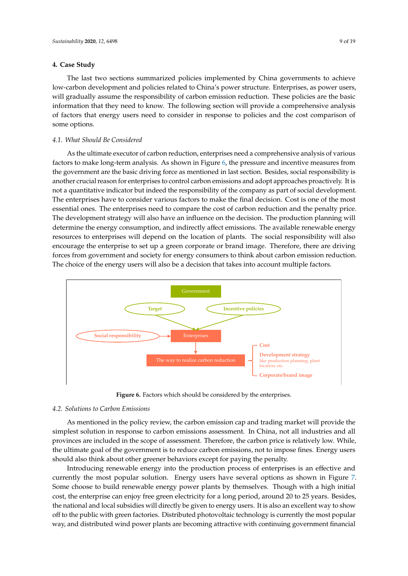### **4. Case Study**

The last two sections summarized policies implemented by China governments to achieve low-carbon development and policies related to China's power structure. Enterprises, as power users, will gradually assume the responsibility of carbon emission reduction. These policies are the basic information that they need to know. The following section will provide a comprehensive analysis of factors that energy users need to consider in response to policies and the cost comparison of some options. options. factors that energy users need to consider in response to policies and the cost comparison of some

## *4.1. What Should Be Considered 4.1. What Should be Considered*

As the ultimate executor of carbon reduction, enterprises need a comprehensive analysis of various As the ultimate executor of carbon reduction, enterprises need a comprehensive analysis of factors to make long-term analysis. As shown in Figure [6,](#page-8-0) the pressure and incentive measures from the government are the basic driving force as mentioned in last section. Besides, social responsibility is another crucial reason for enterprises to control carbon emissions and adopt approaches proactively. It is not a quantitative indicator but indeed the responsibility of the company as part of social development. The enterprises have to consider various factors to make the final decision. Cost is one of the most essential ones. The enterprises need to compare the cost of carbon reduction and the penalty price. The development strategy will also have an influence on the decision. The production planning will determine the energy consumption, and indirectly affect emissions. The available renewable energy resources to enterprises will depend on the location of plants. The social responsibility will also encourage the enterprise to set up a green corporate or brand image. Therefore, there are driving forces from government and society for energy consumers to think about carbon emission reduction. The choice of the energy users will also be a decision that takes into account multiple factors. takes into account multiple factors. the think of the choice of the choice of the energy users will also be a decision that experimental carbon that the energy users will also be a decision of the energy users with the choice of the energy users with the choi

<span id="page-8-0"></span>

**Figure 6.** Factors which should be considered by the enterprises. **Figure 6.** Factors which should be considered by the enterprises.

### *4.2. Solutions to Carbon Emissions 4.2. Solutions to Carbon Emissions*

As mentioned in the policy review, the carbon emission cap and trading market will provide the As mentioned in the policy review, the carbon emission cap and trading market will provide the simplest solution in response to carbon emissions assessment. In China, not all industries and all simplest solution in response to carbon emissions assessment. In China, not all industries and all provinces are included in the scope of assessment. Therefore, the carbon price is relatively low. While, provinces are included in the scope of assessment. Therefore, the carbon price is relatively low. While, the ultimate goal of the government is to reduce carbon emissions, not to impose fines. Energy users the ultimate goal of the government is to reduce carbon emissions, not to impose fines. Energy users should also think about other greener behaviors except for paying the penalty. should also think about other greener behaviors except for paying the penalty.

Introducing renewable energy into the production process of enterprises is an effective and Introducing renewable energy into the production process of enterprises is an effective and currently the most popular solution. Energy users have seen the most procedure  $\frac{1}{2}$ currently the most popular solution. Energy users have several options as shown in Figure [7.](#page-9-0) Some choose to build renewable energy power plants by themselves. Though with a high initial cost, the enterprise can enjoy free green electricity for a long period, around 20 to 25 years. Besides, the national and local subsidies will directly be given to energy users. It is also an excellent way to show off to the public with green factories. Distributed photovoltaic technology is currently the most popular way, and distributed wind power plants are becoming attractive with continuing government financial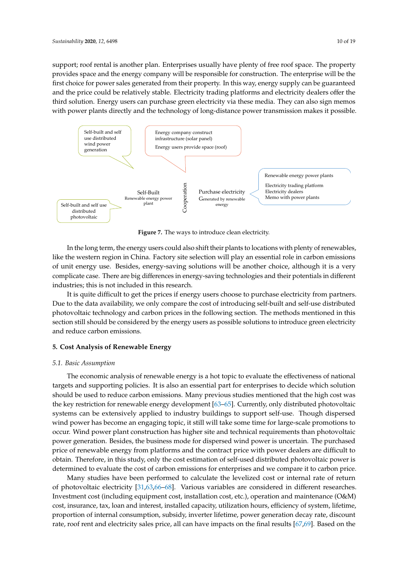support; roof rental is another plan. Enterprises usually have plenty of free roof space. The property provides space and the energy company will be responsible for construction. The enterprise will be the first choice for power sales generated from their property. In this way, energy supply can be guaranteed and the price could be relatively stable. Electricity trading platforms and electricity dealers offer the third solution. Energy users can purchase green electricity via these media. They can also sign memos with power plants directly and the technology of long-distance power transmission makes it possible. transmission makes it possible.

<span id="page-9-0"></span>

**Figure 7.** The ways to introduce clean electricity.

In the long term, the energy users could also shift their plants to locations with plenty of renewables, In the location region in China. Tactory the selection will play an essential role in carbon emissions of unit energy use. Besides, energy-saving solutions will be another choice, although it is a very renewables, and the western region in China. Factor region in China. Factory site selection in China. Factory site selection in The contract role in the selection of the contract role in the contract role in the contract r complicate case. There are big differences in energy-saving technologies and their potentials in different like the western region in China. Factory site selection will play an essential role in carbon emissions industries; this is not included in this research.

It is quite difficult to get the prices if energy-users choose to purchase electricity from partners. It is quite anneal to get the prices in energy asers enosse to parentise electricity from partners.<br>Due to the data availability, we only compare the cost of introducing self-built and self-use distributed photovoltaic technology and carbon prices in the following section. The methods mentioned in this photovoltaic technology and carbon prices in the following section. The methods mentioned in this procedure to the data availability in the distribution of the context of intervention of intervention of intervention of intervention of intervention of intervention of intervention of intervention of intervention of inter section still should be considered by the energy users as possible solutions to introduce green electricity mentioned in this section still showled by the energy users as possible solutions to energy users as possible solutions to the energy users as possible solutions to the energy users as possible solutions to the energy user and reduce carbon emissions.

### **5. Cost Analysis of Renewable Energy**

### **5. Cost Analysis of Renewable Energy** *5.1. Basic Assumption*

The economic analysis of renewable energy is a hot topic to evaluate the effectiveness of national should be used to reduce carbon emissions. Many previous studies mentioned that the high cost was the key restriction for renewable energy development [63-[65\]](#page-17-4). Currently, only distributed photovoltaic systems can be extensively applied to industry buildings to support self-use. Though dispersed wind power has become an engaging topic, it still will take some time for large-scale promotions to occur. Wind power plant construction has higher site and technical requirements than photovoltaic power generation. Besides, the business mode for dispersed wind power is uncertain. The purchased price of renewable energy from platforms and the contract price with power dealers are difficult to obtain. Therefore, in this study, only the cost estimation of self-used distributed photovoltaic power is determined to evaluate the cost of carbon emissions for enterprises and we compare it to carbon price. targets and supporting policies. It is also an essential part for enterprises to decide which solution

Many studies have been performed to calculate the levelized cost or internal rate of return of photovoltaic electricity [\[31,](#page-15-17)[63,](#page-17-3)[66–](#page-17-5)[68\]](#page-17-6). Various variables are considered in different researches. Investment cost (including equipment cost, installation cost, etc.), operation and maintenance (O&M) cost, insurance, tax, loan and interest, installed capacity, utilization hours, efficiency of system, lifetime, proportion of internal consumption, subsidy, inverter lifetime, power generation decay rate, discount rate, roof rent and electricity sales price, all can have impacts on the final results [\[67,](#page-17-7)[69\]](#page-17-8). Based on the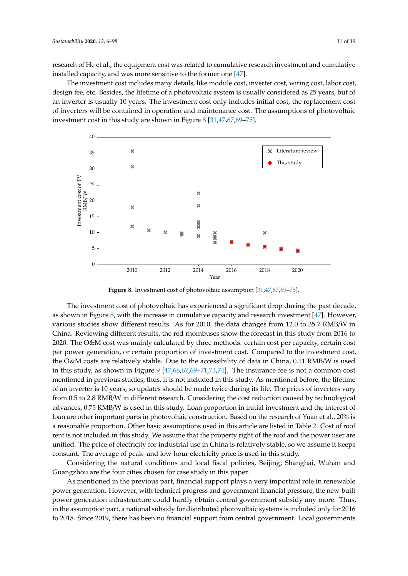research of He et al., the equipment cost was related to cumulative research investment and cumulative installed capacity, and was more sensitive t[o th](#page-16-6)e former one  $[47]$ .

The investment cost includes many details, like module cost, inverter cost, wiring cost, labor cost, The investment cost includes many details, like module cost, inverter cost, wiring cost, labor design fee, etc. Besides, the lifetime of a photovoltaic system is usually considered as 25 years, but of an inverter is usually 10 years. The investment cost only includes initial cost, the replacement cost of inverters will be contained in operation and maintenance cost. The assumptions of photovoltaic investment cost in this study are sh[ow](#page-10-0)[n i](#page-15-17)[n F](#page-16-6)[ig](#page-17-7)[ure](#page-17-8) [8 \[3](#page-17-9)1,47,67,69–75].

<span id="page-10-0"></span>

**Figure 8.** Investment cost of photovoltaic assumption [31,47,67,69–75]. **Figure 8.** Investment cost of photovoltaic assumption [\[31,](#page-15-17)[47,](#page-16-6)[67](#page-17-7)[,69–](#page-17-8)[75\]](#page-17-9).

as shown in Figure [8,](#page-10-0) with the increase in cumulative capacity and research investment [\[47\]](#page-16-6). However, various studies show different results. As for 2010, the data changes from 12.0 to 35.7 RMB/W in However, various studies show different results. As for 2010, the data changes from 12.0 to 35.7 China. Reviewing different results, the red rhombuses show the forecast in this study from 2016 to RMB/W in China. Reviewing different results, the red rhombuses show the forecast in this study from 2020. The O&M cost was mainly calculated by three methods: certain cost per capacity, certain cost 2016 to 2020. The O&M cost was mainly calculated by three methods: certain cost per capacity, certain per power generation, or certain proportion of investment cost. Compared to the investment cost, per power generation, or certain proportion of investment cost. Compared to the investment cost,<br>the O&M costs are relatively stable. Due to the accessibility of data in China, 0.11 RMB/W is used in this study, as shown in Figure [9](#page-11-0)  $[47,66,67,69-71,73,74]$  $[47,66,67,69-71,73,74]$  $[47,66,67,69-71,73,74]$  $[47,66,67,69-71,73,74]$  $[47,66,67,69-71,73,74]$  $[47,66,67,69-71,73,74]$  $[47,66,67,69-71,73,74]$ . The insurance fee is not a common cost mentioned in previous studies; thus, it is not included in this study. As mentioned before, the lifetime mentioned in previous studies; thus, it is not included in this study. As mentioned before, the lifetime of an inverter is 10 years, so updates should be made twice during its life. The prices of inverters vary of an inverter is 10 years, so updates should be made twice during its life. The prices of inverters vary of an inverter is 10 years, so up alter should be made twice during its life. The prices of inverters vary from 0.5 to 2.8 RMB/W in different research. Considering the cost reduction caused by technological from 0.5 to 2.8 RMB/W in different research. Considering the cost reduction caused by technological advances, 0.75 RMB/W is used in this study. Loan proportion in initial investment and the interest of advances, on't rainly with stated in this stately. Loan proportion in initial investment and the interest or loan are other important parts in photovoltaic construction. Based on the research of Yuan et al., 20% is loan are other important parts in photovoltaic construction. Based on the research of Yuan et al., 20% a reasonable proportion. Other basic assumptions used in this article are listed in Table [2.](#page-12-0) Cost of roof a reasonable proportion. Other basic assumptions used in this article are listed in Table 2. Cost of 1001 rent is not included in this study. We assume that the property right of the roof and the power user are roof rent is not included in this study. We assume that the property right of the roof and the power unified. The price of electricity for industrial use in China is relatively stable, so we assume it keeps user are unified. The price of electricity for industrial use in China is relatively stable, so we assume constant. The average of peak- and low-hour electricity price is used in this study. it keeps constant  $\mu$  and  $\mu$  and  $\mu$  are  $\mu$  and  $\mu$  and  $\mu$  and  $\mu$  and  $\mu$  and  $\mu$  and  $\mu$  and  $\mu$  and  $\mu$  and  $\mu$  and  $\mu$  and  $\mu$  and  $\mu$  and  $\mu$  and  $\mu$  and  $\mu$  and  $\mu$  and  $\mu$  and  $\mu$  and  $\mu$  The investment cost of photovoltaic has experienced a significant drop during the past decade,

Considering the natural conditions and local fiscal policies, Beijing, Shanghai, Wuhan and and the fauraities shown for sees study in this sensor. Guangzhou are the four cities chosen for case study in this paper.

Guangzhou are the four cities chosen for case study in this paper. As mentioned in the previous part, financial support plays a very important role in renewable power generation. However, with technical progress and government financial pressure, the new-built power generation infrastructure could hardly obtain central government subsidy any more. Thus, in the assumption part, a national subsidy for distributed photovoltaic systems is included only for 2016 to 2018. Since 2019, there has been no financial support from central government. Local governments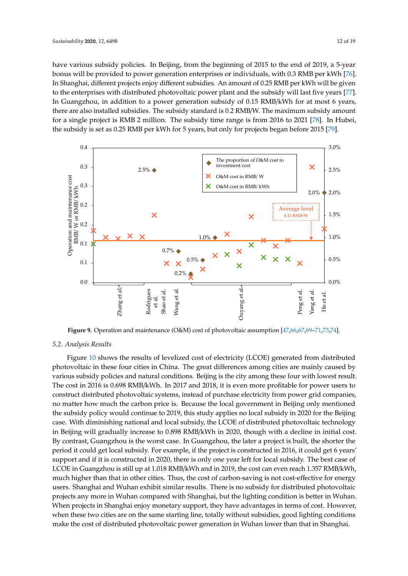have various subsidy policies. In Beijing, from the beginning of 2015 to the end of 2019, a 5-year bonus will be provided to power generation enterprises or individuals, with 0.3 RMB per kWh [\[76\]](#page-17-13). In Shanghai, different projects enjoy different subsidies. An amount of 0.25 RMB per kWh will be given to the enterprises with distributed photovoltaic power plant and the subsidy will last five years [\[77\]](#page-17-14). In Guangzhou, in addition to a power generation subsidy of 0.15 RMB/kWh for at most 6 years, there are also installed subsidies. The subsidy standard is 0.2 RMB/W. The maximum subsidy amount for a single project is RMB 2 million. The subsidy time range is from 2016 to 2021 [\[78\]](#page-18-0). In Hubei, the subsidy is set as 0.25 RMB per kWh for 5 years, but only for projects began before 2015 [\[79\]](#page-18-1).

<span id="page-11-0"></span>

**Figure 9.** Operation and maintenance (O&M) cost of photovoltaic assumption [47,66,67,69–71,73,74]. **Figure 9.** Operation and maintenance (O&M) cost of photovoltaic assumption [\[47,](#page-16-6)[66](#page-17-5)[,67](#page-17-7)[,69](#page-17-8)[–71,](#page-17-10)[73](#page-17-11)[,74\]](#page-17-12).

#### *5.2. Analysis Results*

Figure [10](#page-13-0) shows the results of levelized cost of electricity (LCOE) generated from distributed photovoltaic in these four cities in China. The great differences among cities are mainly caused by various subsidy policies and natural conditions. Beijing is the city among these four with lowest result. The cost in 2016 is 0.698 RMB/kWh. In 2017 and 2018, it is even more profitable for power users to construct distributed photovoltaic systems, instead of purchase electricity from power grid companies, no matter how much the carbon price is. Because the local government in Beijing only mentioned the subsidy policy would continue to 2019, this study applies no local subsidy in 2020 for the Beijing case. With diminishing national and local subsidy, the LCOE of distributed photovoltaic technology in Beijing will gradually increase to 0.898 RMB/kWh in 2020, though with a decline in initial cost. By contrast, Guangzhou is the worst case. In Guangzhou, the later a project is built, the shorter the period it could get local subsidy. For example, if the project is constructed in 2016, it could get 6 years' support and if it is constructed in 2020, there is only one year left for local subsidy. The best case of LCOE in Guangzhou is still up at 1.018 RMB/kWh and in 2019, the cost can even reach 1.357 RMB/kWh, much higher than that in other cities. Thus, the cost of carbon-saving is not cost-effective for energy users. Shanghai and Wuhan exhibit similar results. There is no subsidy for distributed photovoltaic projects any more in Wuhan compared with Shanghai, but the lighting condition is better in Wuhan. When projects in Shanghai enjoy monetary support, they have advantages in terms of cost. However, when these two cities are on the same starting line, totally without subsidies, good lighting conditions make the cost of distributed photovoltaic power generation in Wuhan lower than that in Shanghai.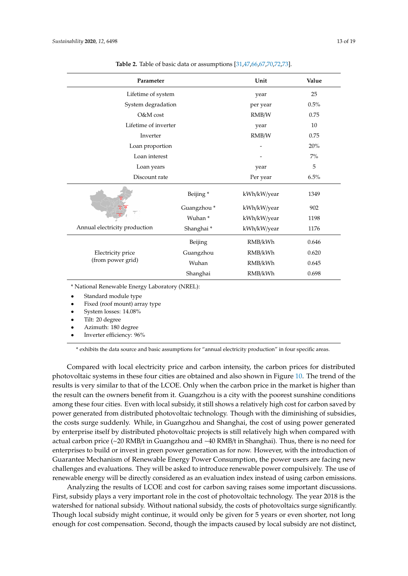<span id="page-12-0"></span>

| Parameter                     | Unit                   | Value       |       |
|-------------------------------|------------------------|-------------|-------|
| Lifetime of system            | year                   | 25          |       |
| System degradation            | per year               | 0.5%        |       |
| $O&M$ cost                    | RMB/W                  | 0.75        |       |
| Lifetime of inverter          | year                   | 10          |       |
| Inverter                      | RMB/W                  | 0.75        |       |
| Loan proportion               |                        | 20%         |       |
| Loan interest                 |                        | $7\%$       |       |
| Loan years                    | year                   | 5           |       |
| Discount rate                 | Per year               | 6.5%        |       |
|                               | Beijing*               | kWh/kW/year | 1349  |
|                               | Guangzhou <sup>*</sup> | kWh/kW/year | 902   |
|                               | Wuhan <sup>*</sup>     | kWh/kW/year | 1198  |
| Annual electricity production | Shanghai*              | kWh/kW/year | 1176  |
|                               | Beijing                | RMB/kWh     | 0.646 |
| Electricity price             | Guangzhou              | RMB/kWh     | 0.620 |
| (from power grid)             | Wuhan                  | RMB/kWh     | 0.645 |
|                               | Shanghai               | RMB/kWh     | 0.698 |

**Table 2.** Table of basic data or assumptions [\[31,](#page-15-17)[47,](#page-16-6)[66](#page-17-5)[,67](#page-17-7)[,70](#page-17-15)[,72,](#page-17-16)[73\]](#page-17-11).

\* National Renewable Energy Laboratory (NREL):

• Standard module type module type

• Fixed (roof mount) array type

• System losses:  $14.08\%$ 

• Tilt: 20 degree

• Azimuth:  $180 \text{ degree}$ 

Inverter efficiency: 96%

\* exhibits the data source and basic assumptions for "annual electricity production" in four specific areas. investment cost

0.7% by enterprise itself by distributed photovoltaic projects is still relatively high when compared with 1.0% 1.0% power generated from distributed photovoltaic technology. Though with the diminishing of subsidies, photovoltaic systems in these four cities are obtained and also shown in Figure [10.](#page-13-0) The trend of the enterprises to build or invest in green power generation as for now. However, with the introduction of the result can the owners benefit from it. Guangzhou is a city with the poorest sunshine conditions actual carbon price (~20 RMB/t in Guangzhou and ~40 RMB/t in Shanghai). Thus, there is no need for the costs surge suddenly. While, in Guangzhou and Shanghai, the cost of using power generated among these four cities. Even with local subsidy, it still shows a relatively high cost for carbon saved by results is very similar to that of the LCOE. Only when the carbon price in the market is higher than  $\overline{a}$ ph<br>re<br>ar<br>th າເ<br>ສາ<br>ສາ<br>ສາມ O&M cost in RMB/ W Compared with local electricity price and carbon intensity, the carbon prices for distributed cl<br>rg<br>rg ı<br>io<br>be et al. S<br>ir Guarantee Mechanism of Kenewable Energy Power Consumption, the power users are facing new<br>challenges and evaluations. They will be asked to introduce renewable power compulsively. The use of<br>renewable energy will be direct W<br>in<br>1 Guarantee Mechanism of Renewable Energy Power Consumption, the power users are facing new renewable energy will be directly considered as an evaluation index instead of using carbon emissions.

First, subsidy plays a very important role in the cost of photovoltaic technology. The year 2018 is the Analyzing the results of LCOE and cost for carbon saving raises some important discussions. watershed for national subsidy. Without national subsidy, the costs of photovoltaics surge significantly. Though local subsidy might continue, it would only be given for 5 years or even shorter, not long enough for cost compensation. Second, though the impacts caused by local subsidy are not distinct,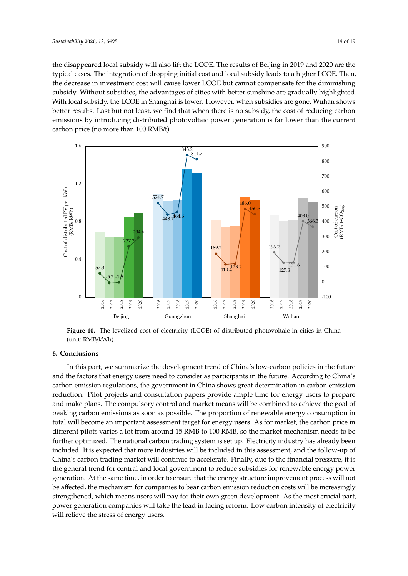the disappeared local subsidy will also lift the LCOE. The results of Beijing in 2019 and 2020 are the typical cases. The integration of dropping initial cost and local subsidy leads to a higher LCOE. Then, the decrease in investment cost will cause lower LCOE but cannot compensate for the diminishing subsidy. Without subsidies, the advantages of cities with better sunshine are gradually highlighted. With local subsidy, the LCOE in Shanghai is lower. However, when subsidies are gone, Wuhan shows better results. Last but not least, we find that when there is no subsidy, the cost of reducing carbon emissions by introducing distributed photovoltaic power generation is far lower than the current carbon price (no more than 100 RMB/t).

<span id="page-13-0"></span>

**Figure 10.** The levelized cost of electricity (LCOE) of distributed photovoltaic in cities in China (unit: RMB/kWh).

#### Analyzing the results of LCOE and cost for carbon saving raises some important discussions. **6. Conclusions**

In this part, we summarize the development trend of China's low-carbon policies in the future and the factors that energy users need to consider as participants in the future. According to China's carbon emission regulations, the government in China shows great determination in carbon emission reduction. Pilot projects and consultation papers provide ample time for energy users to prepare and make plans. The compulsory control and market means will be combined to achieve the goal of peaking carbon emissions as soon as possible. The proportion of renewable energy consumption in total will become an important assessment target for energy users. As for market, the carbon price in different pilots varies a lot from around 15 RMB to 100 RMB, so the market mechanism needs to be further optimized. The national carbon trading system is set up. Electricity industry has already been included. It is expected that more industries will be included in this assessment, and the follow-up of China's carbon trading market will continue to accelerate. Finally, due to the financial pressure, it is the general trend for central and local government to reduce subsidies for renewable energy power be affected, the mechanism for companies to bear carbon emission reduction costs will be increasingly strengthened, which means users will pay for their own green development. As the most crucial part, power generation companies will take the lead in facing reform. Low carbon intensity of electricity will relieve the stress of energy users. carbon emission regulations, the government in China shows great determination in carbon emission<br>reduction. Pilot projects and consultation papers provide ample time for energy users to prepare<br>and make plans. The compuls further optimized. The national carbon trading system is set up. Electricity industry has already been<br>included. It is expected that more industries will be included in this assessment, and the follow-up of<br>China's carbon generation. At the same time, in order to ensure that the energy structure improvement process will not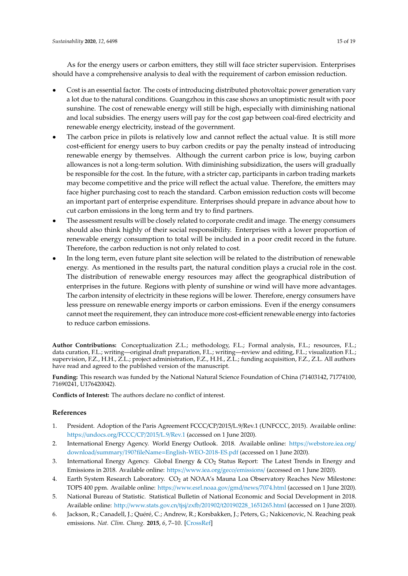As for the energy users or carbon emitters, they still will face stricter supervision. Enterprises should have a comprehensive analysis to deal with the requirement of carbon emission reduction.

- Cost is an essential factor. The costs of introducing distributed photovoltaic power generation vary a lot due to the natural conditions. Guangzhou in this case shows an unoptimistic result with poor sunshine. The cost of renewable energy will still be high, especially with diminishing national and local subsidies. The energy users will pay for the cost gap between coal-fired electricity and renewable energy electricity, instead of the government.
- The carbon price in pilots is relatively low and cannot reflect the actual value. It is still more cost-efficient for energy users to buy carbon credits or pay the penalty instead of introducing renewable energy by themselves. Although the current carbon price is low, buying carbon allowances is not a long-term solution. With diminishing subsidization, the users will gradually be responsible for the cost. In the future, with a stricter cap, participants in carbon trading markets may become competitive and the price will reflect the actual value. Therefore, the emitters may face higher purchasing cost to reach the standard. Carbon emission reduction costs will become an important part of enterprise expenditure. Enterprises should prepare in advance about how to cut carbon emissions in the long term and try to find partners.
- The assessment results will be closely related to corporate credit and image. The energy consumers should also think highly of their social responsibility. Enterprises with a lower proportion of renewable energy consumption to total will be included in a poor credit record in the future. Therefore, the carbon reduction is not only related to cost.
- In the long term, even future plant site selection will be related to the distribution of renewable energy. As mentioned in the results part, the natural condition plays a crucial role in the cost. The distribution of renewable energy resources may affect the geographical distribution of enterprises in the future. Regions with plenty of sunshine or wind will have more advantages. The carbon intensity of electricity in these regions will be lower. Therefore, energy consumers have less pressure on renewable energy imports or carbon emissions. Even if the energy consumers cannot meet the requirement, they can introduce more cost-efficient renewable energy into factories to reduce carbon emissions.

**Author Contributions:** Conceptualization Z.L.; methodology, F.L.; Formal analysis, F.L.; resources, F.L.; data curation, F.L.; writing—original draft preparation, F.L.; writing—review and editing, F.L.; visualization F.L.; supervision, F.Z., H.H., Z.L.; project administration, F.Z., H.H., Z.L.; funding acquisition, F.Z., Z.L. All authors have read and agreed to the published version of the manuscript.

**Funding:** This research was funded by the National Natural Science Foundation of China (71403142, 71774100, 71690241, U176420042).

**Conflicts of Interest:** The authors declare no conflict of interest.

### **References**

- <span id="page-14-0"></span>1. President. Adoption of the Paris Agreement FCCC/CP/2015/L.9/Rev.1 (UNFCCC, 2015). Available online: https://[undocs.org](https://undocs.org/FCCC/CP/2015/L.9/Rev.1)/FCCC/CP/2015/L.9/Rev.1 (accessed on 1 June 2020).
- <span id="page-14-1"></span>2. International Energy Agency. World Energy Outlook. 2018. Available online: https://[webstore.iea.org](https://webstore.iea.org/download/summary/190?fileName=English-WEO-2018-ES.pdf)/ download/summary/190?fileName=[English-WEO-2018-ES.pdf](https://webstore.iea.org/download/summary/190?fileName=English-WEO-2018-ES.pdf) (accessed on 1 June 2020).
- <span id="page-14-2"></span>3. International Energy Agency. Global Energy & CO<sub>2</sub> Status Report: The Latest Trends in Energy and Emissions in 2018. Available online: https://[www.iea.org](https://www.iea.org/geco/emissions/)/geco/emissions/ (accessed on 1 June 2020).
- <span id="page-14-3"></span>4. Earth System Research Laboratory. CO<sub>2</sub> at NOAA's Mauna Loa Observatory Reaches New Milestone: TOPS 400 ppm. Available online: https://[www.esrl.noaa.gov](https://www.esrl.noaa.gov/gmd/news/7074.html)/gmd/news/7074.html (accessed on 1 June 2020).
- <span id="page-14-4"></span>5. National Bureau of Statistic. Statistical Bulletin of National Economic and Social Development in 2018. Available online: http://www.stats.gov.cn/tjsj/zxfb/201902/[t20190228\\_1651265.html](http://www.stats.gov.cn/tjsj/zxfb/201902/t20190228_1651265.html) (accessed on 1 June 2020).
- <span id="page-14-5"></span>6. Jackson, R.; Canadell, J.; Quéré, C.; Andrew, R.; Korsbakken, J.; Peters, G.; Nakicenovic, N. Reaching peak emissions. *Nat. Clim. Chang.* **2015**, *6*, 7–10. [\[CrossRef\]](http://dx.doi.org/10.1038/nclimate2892)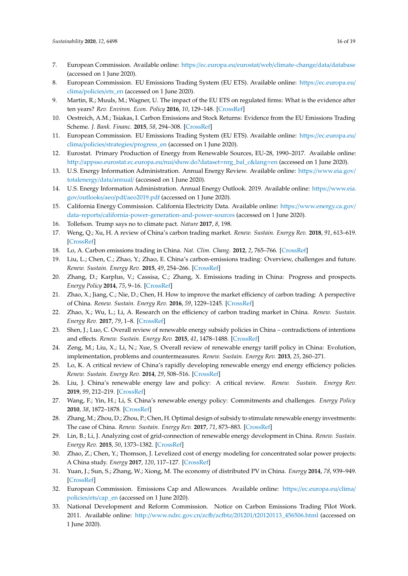- <span id="page-15-0"></span>7. European Commission. Available online: https://ec.europa.eu/eurostat/web/[climate-change](https://ec.europa.eu/eurostat/web/climate-change/data/database)/data/database (accessed on 1 June 2020).
- <span id="page-15-1"></span>8. European Commission. EU Emissions Trading System (EU ETS). Available online: https://[ec.europa.eu](https://ec.europa.eu/clima/policies/ets_en)/ clima/[policies](https://ec.europa.eu/clima/policies/ets_en)/ets\_en (accessed on 1 June 2020).
- <span id="page-15-2"></span>9. Martin, R.; Muuls, M.; Wagner, U. The impact of the EU ETS on regulated firms: What is the evidence after ten years? *Rev. Environ. Econ. Policy* **2016**, *10*, 129–148. [\[CrossRef\]](http://dx.doi.org/10.1093/reep/rev016)
- <span id="page-15-3"></span>10. Oestreich, A.M.; Tsiakas, I. Carbon Emissions and Stock Returns: Evidence from the EU Emissions Trading Scheme. *J. Bank. Financ.* **2015**, *58*, 294–308. [\[CrossRef\]](http://dx.doi.org/10.1016/j.jbankfin.2015.05.005)
- <span id="page-15-4"></span>11. European Commission. EU Emissions Trading System (EU ETS). Available online: https://[ec.europa.eu](https://ec.europa.eu/clima/policies/strategies/progress_en)/ clima/policies/strategies/[progress\\_en](https://ec.europa.eu/clima/policies/strategies/progress_en) (accessed on 1 June 2020).
- <span id="page-15-5"></span>12. Eurostat. Primary Production of Energy from Renewable Sources, EU-28, 1990–2017. Available online: http://[appsso.eurostat.ec.europa.eu](http://appsso.eurostat.ec.europa.eu/nui/show.do?dataset=nrg_bal_c&lang=en)/nui/show.do?dataset=nrg\_bal\_c&lang=en (accessed on 1 June 2020).
- <span id="page-15-6"></span>13. U.S. Energy Information Administration. Annual Energy Review. Available online: https://[www.eia.gov](https://www.eia.gov/totalenergy/data/annual/)/ [totalenergy](https://www.eia.gov/totalenergy/data/annual/)/data/annual/ (accessed on 1 June 2020).
- <span id="page-15-7"></span>14. U.S. Energy Information Administration. Annual Energy Outlook. 2019. Available online: https://[www.eia.](https://www.eia.gov/outlooks/aeo/pdf/aeo2019.pdf) gov/outlooks/aeo/pdf/[aeo2019.pdf](https://www.eia.gov/outlooks/aeo/pdf/aeo2019.pdf) (accessed on 1 June 2020).
- <span id="page-15-8"></span>15. California Energy Commission. California Electricity Data. Available online: https://[www.energy.ca.gov](https://www.energy.ca.gov/data-reports/california-power-generation-and-power-sources)/ data-reports/[california-power-generation-and-power-sources](https://www.energy.ca.gov/data-reports/california-power-generation-and-power-sources) (accessed on 1 June 2020).
- <span id="page-15-10"></span><span id="page-15-9"></span>16. Tollefson. Trump says no to climate pact. *Nature* **2017**, *8*, 198.
- 17. Weng, Q.; Xu, H. A review of China's carbon trading market. *Renew. Sustain. Energy Rev.* **2018**, *91*, 613–619. [\[CrossRef\]](http://dx.doi.org/10.1016/j.rser.2018.04.026)
- 18. Lo, A. Carbon emissions trading in China. *Nat. Clim. Chang.* **2012**, *2*, 765–766. [\[CrossRef\]](http://dx.doi.org/10.1038/nclimate1714)
- 19. Liu, L.; Chen, C.; Zhao, Y.; Zhao, E. China's carbon-emissions trading: Overview, challenges and future. *Renew. Sustain. Energy Rev.* **2015**, *49*, 254–266. [\[CrossRef\]](http://dx.doi.org/10.1016/j.rser.2015.04.076)
- 20. Zhang, D.; Karplus, V.; Cassisa, C.; Zhang, X. Emissions trading in China: Progress and prospects. *Energy Policy* **2014**, *75*, 9–16. [\[CrossRef\]](http://dx.doi.org/10.1016/j.enpol.2014.01.022)
- 21. Zhao, X.; Jiang, C.; Nie, D.; Chen, H. How to improve the market efficiency of carbon trading: A perspective of China. *Renew. Sustain. Energy Rev.* **2016**, *59*, 1229–1245. [\[CrossRef\]](http://dx.doi.org/10.1016/j.rser.2016.01.052)
- <span id="page-15-11"></span>22. Zhao, X.; Wu, L.; Li, A. Research on the efficiency of carbon trading market in China. *Renew. Sustain. Energy Rev.* **2017**, *79*, 1–8. [\[CrossRef\]](http://dx.doi.org/10.1016/j.rser.2017.05.034)
- <span id="page-15-12"></span>23. Shen, J.; Luo, C. Overall review of renewable energy subsidy policies in China – contradictions of intentions and effects. *Renew. Sustain. Energy Rev.* **2015**, *41*, 1478–1488. [\[CrossRef\]](http://dx.doi.org/10.1016/j.rser.2014.09.007)
- <span id="page-15-13"></span>24. Zeng, M.; Liu, X.; Li, N.; Xue, S. Overall review of renewable energy tariff policy in China: Evolution, implementation, problems and countermeasures. *Renew. Sustain. Energy Rev.* **2013**, *25*, 260–271.
- <span id="page-15-14"></span>25. Lo, K. A critical review of China's rapidly developing renewable energy end energy efficiency policies. *Renew. Sustain. Energy Rev.* **2014**, *29*, 508–516. [\[CrossRef\]](http://dx.doi.org/10.1016/j.rser.2013.09.006)
- 26. Liu, J. China's renewable energy law and policy: A critical review. *Renew. Sustain. Energy Rev.* **2019**, *99*, 212–219. [\[CrossRef\]](http://dx.doi.org/10.1016/j.rser.2018.10.007)
- 27. Wang, F.; Yin, H.; Li, S. China's renewable energy policy: Commitments and challenges. *Energy Policy* **2010**, *38*, 1872–1878. [\[CrossRef\]](http://dx.doi.org/10.1016/j.enpol.2009.11.065)
- <span id="page-15-15"></span>28. Zhang, M.; Zhou, D.; Zhou, P.; Chen, H. Optimal design of subsidy to stimulate renewable energy investments: The case of China. *Renew. Sustain. Energy Rev.* **2017**, *71*, 873–883. [\[CrossRef\]](http://dx.doi.org/10.1016/j.rser.2016.12.115)
- <span id="page-15-16"></span>29. Lin, B.; Li, J. Analyzing cost of grid-connection of renewable energy development in China. *Renew. Sustain. Energy Rev.* **2015**, *50*, 1373–1382. [\[CrossRef\]](http://dx.doi.org/10.1016/j.rser.2015.04.194)
- 30. Zhao, Z.; Chen, Y.; Thomson, J. Levelized cost of energy modeling for concentrated solar power projects: A China study. *Energy* **2017**, *120*, 117–127. [\[CrossRef\]](http://dx.doi.org/10.1016/j.energy.2016.12.122)
- <span id="page-15-17"></span>31. Yuan, J.; Sun, S.; Zhang, W.; Xiong, M. The economy of distributed PV in China. *Energy* **2014**, *78*, 939–949. [\[CrossRef\]](http://dx.doi.org/10.1016/j.energy.2014.10.091)
- <span id="page-15-18"></span>32. European Commission. Emissions Cap and Allowances. Available online: https://[ec.europa.eu](https://ec.europa.eu/clima/policies/ets/cap_en)/clima/ [policies](https://ec.europa.eu/clima/policies/ets/cap_en)/ets/cap\_en (accessed on 1 June 2020).
- <span id="page-15-19"></span>33. National Development and Reform Commission. Notice on Carbon Emissions Trading Pilot Work. 2011. Available online: http://www.ndrc.gov.cn/zcfb/zcfbtz/201201/[t20120113\\_456506.html](http://www.ndrc.gov.cn/zcfb/zcfbtz/201201/t20120113_456506.html) (accessed on 1 June 2020).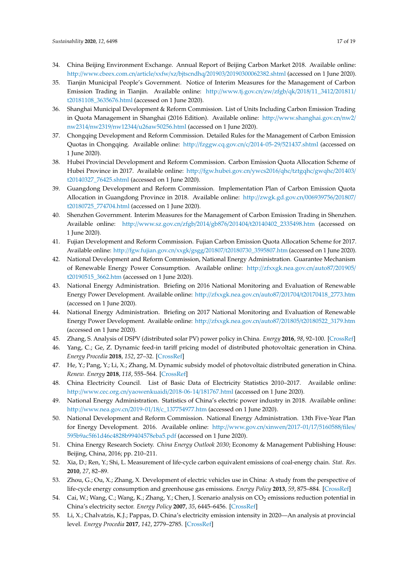- <span id="page-16-0"></span>34. China Beijing Environment Exchange. Annual Report of Beijing Carbon Market 2018. Available online: http://www.cbeex.com.cn/article/xxfw/xz/bjtscndhq/201903/[20190300062382.shtml](http://www.cbeex.com.cn/article/xxfw/xz/bjtscndhq/201903/20190300062382.shtml) (accessed on 1 June 2020).
- 35. Tianjin Municipal People's Government. Notice of Interim Measures for the Management of Carbon Emission Trading in Tianjin. Available online: http://[www.tj.gov.cn](http://www.tj.gov.cn/zw/zfgb/qk/2018/11_3412/201811/t20181108_3635676.html)/zw/zfgb/qk/2018/11\_3412/201811/ [t20181108\\_3635676.html](http://www.tj.gov.cn/zw/zfgb/qk/2018/11_3412/201811/t20181108_3635676.html) (accessed on 1 June 2020).
- 36. Shanghai Municipal Development & Reform Commission. List of Units Including Carbon Emission Trading in Quota Management in Shanghai (2016 Edition). Available online: http://[www.shanghai.gov.cn](http://www.shanghai.gov.cn/nw2/nw2314/nw2319/nw12344/u26aw50256.html)/nw2/ nw2314/nw2319/nw12344/[u26aw50256.html](http://www.shanghai.gov.cn/nw2/nw2314/nw2319/nw12344/u26aw50256.html) (accessed on 1 June 2020).
- 37. Chongqing Development and Reform Commission. Detailed Rules for the Management of Carbon Emission Quotas in Chongqing. Available online: http://[fzggw.cq.gov.cn](http://fzggw.cq.gov.cn/c/2014-05-29/521437.shtml)/c/2014-05-29/521437.shtml (accessed on 1 June 2020).
- 38. Hubei Provincial Development and Reform Commission. Carbon Emission Quota Allocation Scheme of Hubei Province in 2017. Available online: http://[fgw.hubei.gov.cn](http://fgw.hubei.gov.cn/ywcs2016/qhc/tztgqhc/gwqhc/201403/t20140327_76425.shtml)/ywcs2016/qhc/tztgqhc/gwqhc/201403/ [t20140327\\_76425.shtml](http://fgw.hubei.gov.cn/ywcs2016/qhc/tztgqhc/gwqhc/201403/t20140327_76425.shtml) (accessed on 1 June 2020).
- 39. Guangdong Development and Reform Commission. Implementation Plan of Carbon Emission Quota Allocation in Guangdong Province in 2018. Available online: http://[zwgk.gd.gov.cn](http://zwgk.gd.gov.cn/006939756/201807/t20180725_774704.html)/006939756/201807/ [t20180725\\_774704.html](http://zwgk.gd.gov.cn/006939756/201807/t20180725_774704.html) (accessed on 1 June 2020).
- 40. Shenzhen Government. Interim Measures for the Management of Carbon Emission Trading in Shenzhen. Available online: http://www.sz.gov.cn/zfgb/2014/gb876/201404/[t20140402\\_2335498.htm](http://www.sz.gov.cn/zfgb/2014/gb876/201404/t20140402_2335498.htm) (accessed on 1 June 2020).
- <span id="page-16-1"></span>41. Fujian Development and Reform Commission. Fujian Carbon Emission Quota Allocation Scheme for 2017. Available online: http://fgw.fujian.gov.cn/xxgk/gsgg/201807/[t20180730\\_3595807.htm](http://fgw.fujian.gov.cn/xxgk/gsgg/201807/t20180730_3595807.htm) (accessed on 1 June 2020).
- <span id="page-16-2"></span>42. National Development and Reform Commission, National Energy Administration. Guarantee Mechanism of Renewable Energy Power Consumption. Available online: http://[zfxxgk.nea.gov.cn](http://zfxxgk.nea.gov.cn/auto87/201905/t20190515_3662.htm)/auto87/201905/ [t20190515\\_3662.htm](http://zfxxgk.nea.gov.cn/auto87/201905/t20190515_3662.htm) (accessed on 1 June 2020).
- <span id="page-16-3"></span>43. National Energy Administration. Briefing on 2016 National Monitoring and Evaluation of Renewable Energy Power Development. Available online: http://zfxxgk.nea.gov.cn/auto87/201704/[t20170418\\_2773.htm](http://zfxxgk.nea.gov.cn/auto87/201704/t20170418_2773.htm) (accessed on 1 June 2020).
- <span id="page-16-4"></span>44. National Energy Administration. Briefing on 2017 National Monitoring and Evaluation of Renewable Energy Power Development. Available online: http://zfxxgk.nea.gov.cn/auto87/201805/[t20180522\\_3179.htm](http://zfxxgk.nea.gov.cn/auto87/201805/t20180522_3179.htm) (accessed on 1 June 2020).
- <span id="page-16-5"></span>45. Zhang, S. Analysis of DSPV (distributed solar PV) power policy in China. *Energy* **2016**, *98*, 92–100. [\[CrossRef\]](http://dx.doi.org/10.1016/j.energy.2016.01.026)
- 46. Yang, C.; Ge, Z. Dynamic feed-in tariff pricing model of distributed photovoltaic generation in China. *Energy Procedia* **2018**, *152*, 27–32. [\[CrossRef\]](http://dx.doi.org/10.1016/j.egypro.2018.09.054)
- <span id="page-16-6"></span>47. He, Y.; Pang, Y.; Li, X.; Zhang, M. Dynamic subsidy model of photovoltaic distributed generation in China. *Renew. Energy* **2018**, *118*, 555–564. [\[CrossRef\]](http://dx.doi.org/10.1016/j.renene.2017.11.042)
- <span id="page-16-7"></span>48. China Electricity Council. List of Basic Data of Electricity Statistics 2010–2017. Available online: http://[www.cec.org.cn](http://www.cec.org.cn/yaowenkuaidi/2018-06-14/181767.html)/yaowenkuaidi/2018-06-14/181767.html (accessed on 1 June 2020).
- 49. National Energy Administration. Statistics of China's electric power industry in 2018. Available online: http://www.nea.gov.cn/2019-01/18/[c\\_137754977.htm](http://www.nea.gov.cn/2019-01/18/c_137754977.htm) (accessed on 1 June 2020).
- 50. National Development and Reform Commission. National Energy Administration. 13th Five-Year Plan for Energy Development. 2016. Available online: http://[www.gov.cn](http://www.gov.cn/xinwen/2017-01/17/5160588/files/595b9ac5f61d46c4828b99404578eba5.pdf)/xinwen/2017-01/17/5160588/files/ [595b9ac5f61d46c4828b99404578eba5.pdf](http://www.gov.cn/xinwen/2017-01/17/5160588/files/595b9ac5f61d46c4828b99404578eba5.pdf) (accessed on 1 June 2020).
- <span id="page-16-8"></span>51. China Energy Research Society. *China Energy Outlook 2030*; Economy & Management Publishing House: Beijing, China, 2016; pp. 210–211.
- <span id="page-16-9"></span>52. Xia, D.; Ren, Y.; Shi, L. Measurement of life-cycle carbon equivalent emissions of coal-energy chain. *Stat. Res.* **2010**, *27*, 82–89.
- <span id="page-16-10"></span>53. Zhou, G.; Ou, X.; Zhang, X. Development of electric vehicles use in China: A study from the perspective of life-cycle energy consumption and greenhouse gas emissions. *Energy Policy* **2013**, *59*, 875–884. [\[CrossRef\]](http://dx.doi.org/10.1016/j.enpol.2013.04.057)
- 54. Cai, W.; Wang, C.; Wang, K.; Zhang, Y.; Chen, J. Scenario analysis on CO<sub>2</sub> emissions reduction potential in China's electricity sector. *Energy Policy* **2007**, *35*, 6445–6456. [\[CrossRef\]](http://dx.doi.org/10.1016/j.enpol.2007.08.026)
- <span id="page-16-11"></span>55. Li, X.; Chalvatzis, K.J.; Pappas, D. China's electricity emission intensity in 2020—An analysis at provincial level. *Energy Procedia* **2017**, *142*, 2779–2785. [\[CrossRef\]](http://dx.doi.org/10.1016/j.egypro.2017.12.421)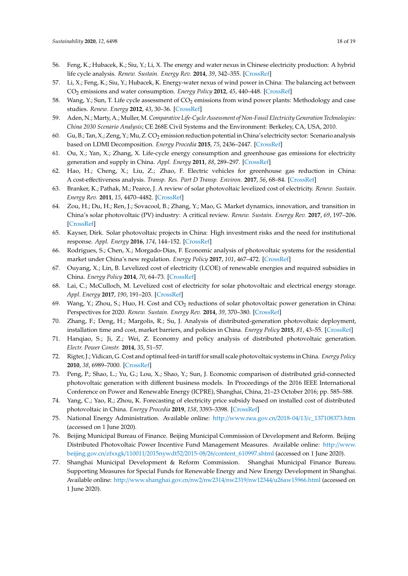- 56. Feng, K.; Hubacek, K.; Siu, Y.; Li, X. The energy and water nexus in Chinese electricity production: A hybrid life cycle analysis. *Renew. Sustain. Energy Rev.* **2014**, *39*, 342–355. [\[CrossRef\]](http://dx.doi.org/10.1016/j.rser.2014.07.080)
- 57. Li, X.; Feng, K.; Siu, Y.; Hubacek, K. Energy-water nexus of wind power in China: The balancing act between CO<sup>2</sup> emissions and water consumption. *Energy Policy* **2012**, *45*, 440–448. [\[CrossRef\]](http://dx.doi.org/10.1016/j.enpol.2012.02.054)
- 58. Wang, Y.; Sun, T. Life cycle assessment of  $CO<sub>2</sub>$  emissions from wind power plants: Methodology and case studies. *Renew. Energy* **2012**, *43*, 30–36. [\[CrossRef\]](http://dx.doi.org/10.1016/j.renene.2011.12.017)
- <span id="page-17-0"></span>59. Aden, N.; Marty, A.; Muller, M. *Comparative Life-Cycle Assessment of Non-Fossil Electricity Generation Technologies: China 2030 Scenario Analysis*; CE 268E Civil Systems and the Environment: Berkeley, CA, USA, 2010.
- <span id="page-17-1"></span>60. Gu, B.; Tan, X.; Zeng, Y.; Mu, Z. CO<sub>2</sub> emission reduction potential in China's electricity sector: Scenario analysis based on LDMI Decomposition. *Energy Procedia* **2015**, *75*, 2436–2447. [\[CrossRef\]](http://dx.doi.org/10.1016/j.egypro.2015.07.210)
- 61. Ou, X.; Yan, X.; Zhang, X. Life-cycle energy consumption and greenhouse gas emissions for electricity generation and supply in China. *Appl. Energy* **2011**, *88*, 289–297. [\[CrossRef\]](http://dx.doi.org/10.1016/j.apenergy.2010.05.010)
- <span id="page-17-2"></span>62. Hao, H.; Cheng, X.; Liu, Z.; Zhao, F. Electric vehicles for greenhouse gas reduction in China: A cost-effectiveness analysis. *Transp. Res. Part D Transp. Environ.* **2017**, *56*, 68–84. [\[CrossRef\]](http://dx.doi.org/10.1016/j.trd.2017.07.025)
- <span id="page-17-3"></span>63. Branker, K.; Pathak, M.; Pearce, J. A review of solar photovoltaic levelized cost of electricity. *Renew. Sustain. Energy Rev.* **2011**, *15*, 4470–4482. [\[CrossRef\]](http://dx.doi.org/10.1016/j.rser.2011.07.104)
- 64. Zou, H.; Du, H.; Ren, J.; Sovacool, B.; Zhang, Y.; Mao, G. Market dynamics, innovation, and transition in China's solar photovoltaic (PV) industry: A critical review. *Renew. Sustain. Energy Rev.* **2017**, *69*, 197–206. [\[CrossRef\]](http://dx.doi.org/10.1016/j.rser.2016.11.053)
- <span id="page-17-4"></span>65. Kayser, Dirk. Solar photovoltaic projects in China: High investment risks and the need for institutional response. *Appl. Energy* **2016**, *174*, 144–152. [\[CrossRef\]](http://dx.doi.org/10.1016/j.apenergy.2016.04.089)
- <span id="page-17-5"></span>66. Rodrigues, S.; Chen, X.; Morgado-Dias, F. Economic analysis of photovoltaic systems for the residential market under China's new regulation. *Energy Policy* **2017**, *101*, 467–472. [\[CrossRef\]](http://dx.doi.org/10.1016/j.enpol.2016.10.039)
- <span id="page-17-7"></span>67. Ouyang, X.; Lin, B. Levelized cost of electricity (LCOE) of renewable energies and required subsidies in China. *Energy Policy* **2014**, *70*, 64–73. [\[CrossRef\]](http://dx.doi.org/10.1016/j.enpol.2014.03.030)
- <span id="page-17-6"></span>68. Lai, C.; McCulloch, M. Levelized cost of electricity for solar photovoltaic and electrical energy storage. *Appl. Energy* **2017**, *190*, 191–203. [\[CrossRef\]](http://dx.doi.org/10.1016/j.apenergy.2016.12.153)
- <span id="page-17-8"></span>69. Wang, Y.; Zhou, S.; Huo, H. Cost and CO<sub>2</sub> reductions of solar photovoltaic power generation in China: Perspectives for 2020. *Renew. Sustain. Energy Rev.* **2014**, *39*, 370–380. [\[CrossRef\]](http://dx.doi.org/10.1016/j.rser.2014.07.027)
- <span id="page-17-15"></span>70. Zhang, F.; Deng, H.; Margolis, R.; Su, J. Analysis of distributed-generation photovoltaic deployment, installation time and cost, market barriers, and policies in China. *Energy Policy* **2015**, *81*, 43–55. [\[CrossRef\]](http://dx.doi.org/10.1016/j.enpol.2015.02.010)
- <span id="page-17-10"></span>71. Hanqiao, S.; Ji, Z.; Wei, Z. Economy and policy analysis of distributed photovoltaic generation. *Electr. Power Constr.* **2014**, *35*, 51–57.
- <span id="page-17-16"></span>72. Rigter, J.; Vidican, G. Cost and optimal feed-in tariff for small scale photovoltaic systems in China. *Energy Policy* **2010**, *38*, 6989–7000. [\[CrossRef\]](http://dx.doi.org/10.1016/j.enpol.2010.07.014)
- <span id="page-17-11"></span>73. Peng, P.; Shao, L.; Yu, G.; Lou, X.; Shao, Y.; Sun, J. Economic comparison of distributed grid-connected photovoltaic generation with different business models. In Proceedings of the 2016 IEEE International Conference on Power and Renewable Energy (ICPRE), Shanghai, China, 21–23 October 2016; pp. 585–588.
- <span id="page-17-12"></span>74. Yang, C.; Yao, R.; Zhou, K. Forecasting of electricity price subsidy based on installed cost of distributed photovoltaic in China. *Energy Procedia* **2019**, *158*, 3393–3398. [\[CrossRef\]](http://dx.doi.org/10.1016/j.egypro.2019.01.943)
- <span id="page-17-9"></span>75. National Energy Administration. Available online: http://www.nea.gov.cn/2018-04/13/[c\\_137108373.htm](http://www.nea.gov.cn/2018-04/13/c_137108373.htm) (accessed on 1 June 2020).
- <span id="page-17-13"></span>76. Beijing Municipal Bureau of Finance. Beijing Municipal Commission of Development and Reform. Beijing Distributed Photovoltaic Power Incentive Fund Management Measures. Available online: http://[www.](http://www.beijing.gov.cn/zfxxgk/110011/2015nywdt52/2015-08/26/content_610997.shtml) beijing.gov.cn/zfxxgk/110011/2015nywdt52/2015-08/26/[content\\_610997.shtml](http://www.beijing.gov.cn/zfxxgk/110011/2015nywdt52/2015-08/26/content_610997.shtml) (accessed on 1 June 2020).
- <span id="page-17-14"></span>77. Shanghai Municipal Development & Reform Commission. Shanghai Municipal Finance Bureau. Supporting Measures for Special Funds for Renewable Energy and New Energy Development in Shanghai. Available online: http://[www.shanghai.gov.cn](http://www.shanghai.gov.cn/nw2/nw2314/nw2319/nw12344/u26aw15966.html)/nw2/nw2314/nw2319/nw12344/u26aw15966.html (accessed on 1 June 2020).